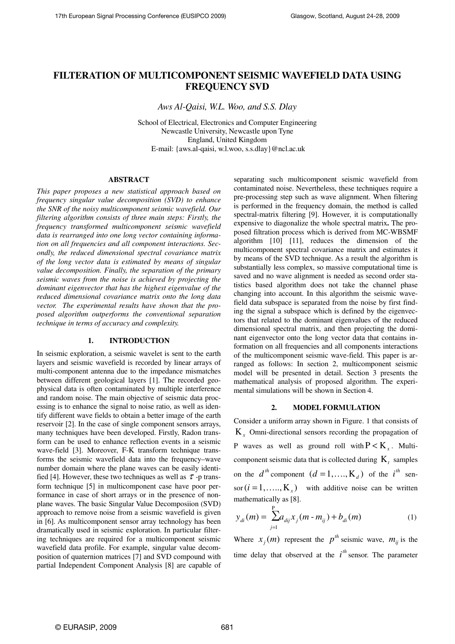# **FILTERATION OF MULTICOMPONENT SEISMIC WAVEFIELD DATA USING FREQUENCY SVD**

*Aws Al-Qaisi, W.L. Woo, and S.S. Dlay* 

School of Electrical, Electronics and Computer Engineering Newcastle University, Newcastle upon Tyne England, United Kingdom E-mail: {aws.al-qaisi, w.l.woo, s.s.dlay}@ncl.ac.uk

#### **ABSTRACT**

*This paper proposes a new statistical approach based on frequency singular value decomposition (SVD) to enhance the SNR of the noisy multicomponent seismic wavefield. Our filtering algorithm consists of three main steps: Firstly, the frequency transformed multicomponent seismic wavefield data is rearranged into one long vector containing information on all frequencies and all component interactions. Secondly, the reduced dimensional spectral covariance matrix of the long vector data is estimated by means of singular value decomposition. Finally, the separation of the primary seismic waves from the noise is achieved by projecting the dominant eigenvector that has the highest eigenvalue of the reduced dimensional covariance matrix onto the long data vector. The experimental results have shown that the proposed algorithm outperforms the conventional separation technique in terms of accuracy and complexity.* 

### **1. INTRODUCTION**

In seismic exploration, a seismic wavelet is sent to the earth layers and seismic wavefield is recorded by linear arrays of multi-component antenna due to the impedance mismatches between different geological layers [1]. The recorded geophysical data is often contaminated by multiple interference and random noise. The main objective of seismic data processing is to enhance the signal to noise ratio, as well as identify different wave fields to obtain a better image of the earth reservoir [2]. In the case of single component sensors arrays, many techniques have been developed. Firstly, Radon transform can be used to enhance reflection events in a seismic wave-field [3]. Moreover, F-K transform technique transforms the seismic wavefield data into the frequency–wave number domain where the plane waves can be easily identified [4]. However, these two techniques as well as  $\tau$ -p transform technique [5] in multicomponent case have poor performance in case of short arrays or in the presence of nonplane waves. The basic Singular Value Decomposiion (SVD) approach to remove noise from a seismic wavefield is given in [6]. As multicomponent sensor array technology has been dramatically used in seismic exploration. In particular filtering techniques are required for a multicomponent seismic wavefield data profile. For example, singular value decomposition of quaternion matrices [7] and SVD compound with partial Independent Component Analysis [8] are capable of separating such multicomponent seismic wavefield from contaminated noise. Nevertheless, these techniques require a pre-processing step such as wave alignment. When filtering is performed in the frequency domain, the method is called spectral-matrix filtering [9]. However, it is computationally expensive to diagonalize the whole spectral matrix**.** The proposed filtration process which is derived from MC-WBSMF algorithm [10] [11], reduces the dimension of the multicomponent spectral covariance matrix and estimates it by means of the SVD technique. As a result the algorithm is substantially less complex, so massive computational time is saved and no wave alignment is needed as second order statistics based algorithm does not take the channel phase changing into account. In this algorithm the seismic wavefield data subspace is separated from the noise by first finding the signal a subspace which is defined by the eigenvectors that related to the dominant eigenvalues of the reduced dimensional spectral matrix, and then projecting the dominant eigenvector onto the long vector data that contains information on all frequencies and all components interactions of the multicomponent seismic wave-field. This paper is arranged as follows: In section 2, multicomponent seismic model will be presented in detail. Section 3 presents the mathematical analysis of proposed algorithm. The experimental simulations will be shown in Section 4.

### **2. MODEL FORMULATION**

Consider a uniform array shown in Figure. 1 that consists of K*x* Omni-directional sensors recording the propagation of P waves as well as ground roll with  $P \lt K_x$ . Multicomponent seismic data that is collected during  $K_t$  samples on the  $d^{th}$  component  $(d = 1, ..., K_d)$  of the  $i^{th}$  sen- $\text{for } (i = 1, \dots, K_x)$  with additive noise can be written mathematically as [8].

$$
y_{di}(m) = \sum_{j=1}^{P} a_{dij} x_j (m - m_{ij}) + b_{di}(m)
$$
 (1)

Where  $x_j(m)$  represent the  $p^{th}$  seismic wave,  $m_{ij}$  is the time delay that observed at the  $i^{th}$  sensor. The parameter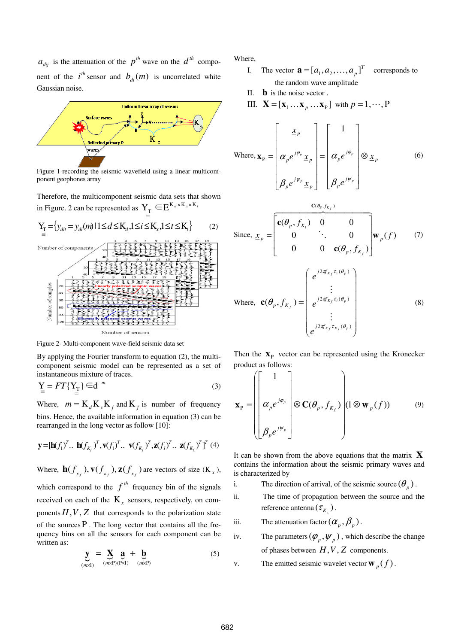$a_{di}$  is the attenuation of the  $p^{th}$  wave on the  $d^{th}$  component of the  $i^{th}$  sensor and  $b_{di}(m)$  is uncorrelated white Gaussian noise.



Figure 1-recording the seismic wavefield using a linear multicomponent geophones array

Therefore, the multicomponent seismic data sets that shown in Figure. 2 can be represented as  $Y_T \in E^{K_d \times K_x \times K_t}$ 



Figure 2- Multi-component wave-field seismic data set

By applying the Fourier transform to equation (2), the multicomponent seismic model can be represented as a set of instantaneous mixture of traces.

$$
\mathbf{Y}_{\equiv} = FT\{\mathbf{Y}_{\mathrm{T}}\} \in \mathbf{d}^{m} \tag{3}
$$

Where,  $m = K_d K_x K_f$  and  $K_f$  is number of frequency bins. Hence, the available information in equation (3) can be rearranged in the long vector as follow [10]:

$$
\mathbf{y} = [\mathbf{h}(f_1)^T \dots \mathbf{h}(f_{K_f})^T, \mathbf{v}(f_1)^T \dots \mathbf{v}(f_{K_f})^T, \mathbf{z}(f_1)^T \dots \mathbf{z}(f_{K_f})^T]^T \tag{4}
$$

Where,  $\mathbf{h}(f_{\kappa_f}), \mathbf{v}(f_{\kappa_f}), \mathbf{z}(f_{\kappa_f})$  are vectors of size  $(\mathbf{K}_x)$ , which correspond to the  $f<sup>th</sup>$  frequency bin of the signals received on each of the  $K<sub>x</sub>$  sensors, respectively, on components  $H, V, Z$  that corresponds to the polarization state of the sources  $P$ . The long vector that contains all the frequency bins on all the sensors for each component can be written as:

$$
\mathbf{y}_{\hookrightarrow} = \mathbf{X}_{\hookrightarrow} \mathbf{a} + \mathbf{b}_{\hookrightarrow} \tag{5}
$$
\n
$$
\mathbf{y}_{(m \times 1)} = \mathbf{X}_{\infty} \mathbf{a} + \mathbf{b}_{\infty}
$$

Where,

- I. The vector  $\mathbf{a} = [a_1, a_2, \dots, a_p]^T$  corresponds to the random wave amplitude
- II. **b** is the noise vector .
- III.  $\mathbf{X} = [\mathbf{x}_1 \dots \mathbf{x}_p \dots \mathbf{x}_P]$  with  $p = 1, \dots, P$

Where, 
$$
\mathbf{x}_p = \begin{bmatrix} \frac{x_p}{\alpha_p e^{j\varphi_p} x_p} \\ \frac{\beta_p}{\beta_p e^{j\psi_p} x_p} \end{bmatrix} = \begin{bmatrix} 1 \\ \alpha_p e^{j\varphi_p} \\ \beta_p e^{j\psi_p} \end{bmatrix} \otimes \mathbf{x}_p
$$
 (6)  
\nSince,  $\mathbf{x}_p = \begin{bmatrix} \mathbf{c}(\theta_p, f_{K_1}) & 0 & 0 \\ 0 & \ddots & 0 \\ 0 & 0 & \mathbf{c}(\theta_p, f_{K_f}) \end{bmatrix} \mathbf{w}_p(f)$  (7)  
\n  
\nWhere,  $\mathbf{c}(\theta_p, f_{K_f}) = \begin{bmatrix} e^{j2\pi f_{K_f} \tau_1(\theta_p)} \\ \vdots \\ e^{j2\pi f_{K_f} \tau_i(\theta_p)} \\ \vdots \\ e^{j2\pi f_{K_f} \tau_{K_s}(\theta_p)} \end{bmatrix}$  (8)

Then the  $\mathbf{X}_P$  vector can be represented using the Kronecker product as follows:

$$
\mathbf{x}_{\mathrm{p}} = \left( \begin{bmatrix} 1 \\ \alpha_{p} e^{j\varphi_{p}} \\ \beta_{p} e^{j\psi_{p}} \end{bmatrix} \otimes \mathbf{C}(\theta_{p}, f_{K_{f}}) \right) (1 \otimes \mathbf{w}_{p}(f)) \qquad (9)
$$

It can be shown from the above equations that the matrix **X** contains the information about the seismic primary waves and is characterized by

- i. The direction of arrival, of the seismic source  $(\theta_p)$ .
- ii. The time of propagation between the source and the reference antenna  $(\tau_{K_x})$ .
- iii. The attenuation factor  $(\alpha_p, \beta_p)$ .
- iv. The parameters  $(\varphi_p, \psi_p)$ , which describe the change of phases between  $H, V, Z$  components.
- v. The emitted seismic wavelet vector  $\mathbf{w}_p(f)$ .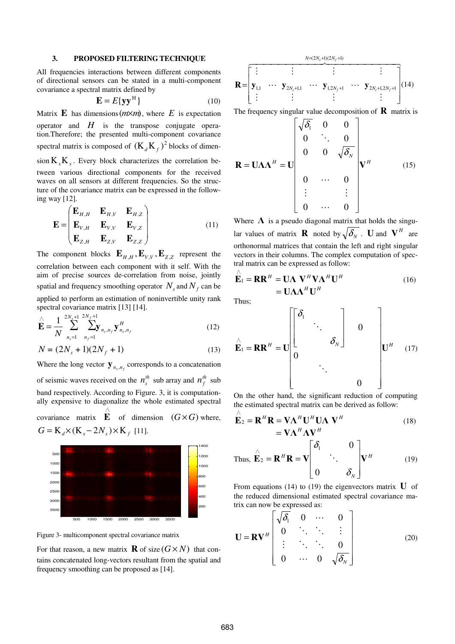#### **3. PROPOSED FILTERING TECHNIQUE**

All frequencies interactions between different components of directional sensors can be stated in a multi-component covariance a spectral matrix defined by

$$
\mathbf{E} = E\{\mathbf{y}\mathbf{y}^{\mathrm{H}}\}\tag{10}
$$

Matrix **E** has dimensions  $(m \times m)$ , where *E* is expectation operator and  $H$  is the transpose conjugate operation.Therefore; the presented multi-component covariance spectral matrix is composed of  $(K_d K_f)^2$  blocks of dimension  $K_{x}K_{x}$ . Every block characterizes the correlation between various directional components for the received waves on all sensors at different frequencies. So the structure of the covariance matrix can be expressed in the following way [12].

$$
\mathbf{E} = \begin{pmatrix} \mathbf{E}_{H,H} & \mathbf{E}_{H,V} & \mathbf{E}_{H,Z} \\ \mathbf{E}_{V,H} & \mathbf{E}_{V,V} & \mathbf{E}_{V,Z} \\ \mathbf{E}_{Z,H} & \mathbf{E}_{Z,V} & \mathbf{E}_{Z,Z} \end{pmatrix}
$$
(11)

The component blocks  $\mathbf{E}_{H,H}$ ,  $\mathbf{E}_{V,V}$ ,  $\mathbf{E}_{Z,Z}$  represent the correlation between each component with it self. With the aim of precise sources de-correlation from noise, jointly spatial and frequency smoothing operator  $N_s$  and  $N_f$  can be applied to perform an estimation of noninvertible unity rank spectral covariance matrix [13] [14].

$$
\sum_{i=1}^{\hat{m}} \sum_{n_s=1}^{2N_s+1} \sum_{n_f=1}^{2N_f+1} \sum_{n_s,n_f}^{2N_{r,s,n_f}} \mathbf{y}_{n_s,n_f}^H
$$
\n(12)

$$
N = (2N_s + 1)(2N_f + 1)
$$
\n(13)

Where the long vector  $\mathbf{y}_{n_s,n_f}$  corresponds to a concatenation of seismic waves received on the  $n_s^{th}$  sub array and  $n_f^{th}$  sub band respectively. According to Figure. 3, it is computationally expensive to diagonalize the whole estimated spectral covariance matrix **E** of dimension  $(G \times G)$  where, ∧  $G = K_d \times (K_x - 2N_s) \times K_f$  [11].



Figure 3- multicomponent spectral covariance matrix

For that reason, a new matrix **R** of size  $(G \times N)$  that contains concatenated long-vectors resultant from the spatial and frequency smoothing can be proposed as [14].

$$
\mathbf{R} = \begin{bmatrix} \vdots & \vdots & \vdots & \vdots \\ \mathbf{y}_{1,1} & \cdots & \mathbf{y}_{2N_s+1,1} & \cdots & \mathbf{y}_{1,2N_f+1} & \cdots & \mathbf{y}_{2N_s+1,2N_f+1} \\ \vdots & \vdots & \vdots & \vdots & \vdots \end{bmatrix} (14)
$$

The frequency singular value decomposition of  $\bf{R}$  matrix is

$$
\mathbf{R} = \mathbf{U} \mathbf{\Lambda} \mathbf{\Lambda}^H = \mathbf{U} \begin{bmatrix} \sqrt{\delta_1} & 0 & 0 \\ 0 & \ddots & 0 \\ 0 & 0 & \sqrt{\delta_N} \\ 0 & \cdots & 0 \\ \vdots & & \vdots \\ 0 & \cdots & 0 \end{bmatrix} \mathbf{V}^H \qquad (15)
$$

Where  $\Lambda$  is a pseudo diagonal matrix that holds the singular values of matrix **R** noted by  $\sqrt{\delta_N}$  . **U** and  $V^H$  are orthonormal matrices that contain the left and right singular vectors in their columns. The complex computation of spectral matrix can be expressed as follow:

$$
\hat{\mathbf{E}}_1 = \mathbf{R} \mathbf{R}^H = \mathbf{U} \mathbf{\Lambda} \mathbf{V}^H \mathbf{V} \mathbf{\Lambda}^H \mathbf{U}^H
$$
\n
$$
= \mathbf{U} \mathbf{\Lambda} \mathbf{\Lambda}^H \mathbf{U}^H
$$
\n(16)

Thus;

$$
\hat{\mathbf{E}}_1 = \mathbf{R} \mathbf{R}^H = \mathbf{U} \begin{bmatrix} \delta_1 & & & \\ & \ddots & & \\ & & \ddots & \\ 0 & & & \ddots & \\ & & & \ddots & \\ & & & & 0 \end{bmatrix} \mathbf{U}^H \quad (17)
$$

On the other hand, the significant reduction of computing the estimated spectral matrix can be derived as follow:

$$
\hat{\mathbf{E}}_2 = \mathbf{R}^H \mathbf{R} = \mathbf{V} \mathbf{\Lambda}^H \mathbf{U}^H \mathbf{U} \mathbf{\Lambda} \mathbf{V}^H
$$
\n
$$
= \mathbf{V} \mathbf{\Lambda}^H \mathbf{\Lambda} \mathbf{V}^H
$$
\nThus,  $\hat{\mathbf{E}}_2 = \mathbf{R}^H \mathbf{R} = \mathbf{V} \begin{bmatrix} \delta_1 & 0 \\ 0 & \ddots \\ 0 & \delta_N \end{bmatrix} \mathbf{V}^H$ \n(19)

From equations (14) to (19) the eigenvectors matrix  $\bf{U}$  of the reduced dimensional estimated spectral covariance matrix can now be expressed as:

$$
\mathbf{U} = \mathbf{R} \mathbf{V}^H \begin{bmatrix} \sqrt{\delta_1} & 0 & \cdots & 0 \\ 0 & \ddots & \ddots & \vdots \\ \vdots & \ddots & \ddots & 0 \\ 0 & \cdots & 0 & \sqrt{\delta_N} \end{bmatrix}
$$
(20)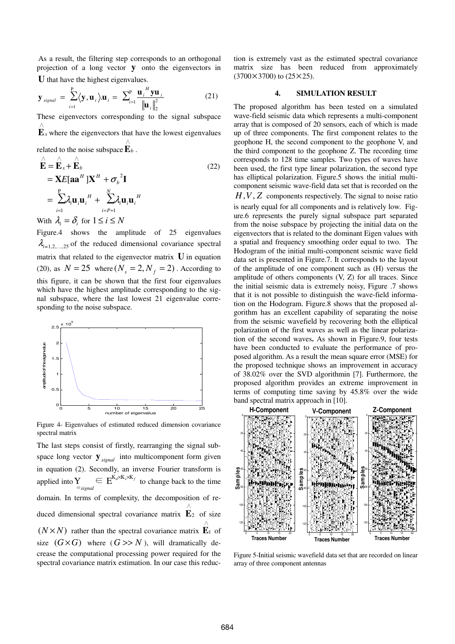As a result, the filtering step corresponds to an orthogonal projection of a long vector **y** onto the eigenvectors in **U** that have the highest eigenvalues.

$$
\mathbf{y}_{signal} = \sum_{i=1}^{P} \langle \mathbf{y}, \mathbf{u}_i \rangle \mathbf{u}_i = \sum_{i=1}^{P} \frac{\mathbf{u}_i^H \mathbf{y} \mathbf{u}_i}{\left\| \mathbf{u}_i \right\|_2^2}
$$
(21)

These eigenvectors corresponding to the signal subspace  $\mathbf{E}_x$  where the eigenvectors that have the lowest eigenvalues ∧

related to the noise subspace  $\mathbf{E}_b$ . ∧

$$
\hat{\mathbf{E}} = \hat{\mathbf{E}}_x + \hat{\mathbf{E}}_b
$$
\n
$$
= \mathbf{X} E[\mathbf{a} \mathbf{a}^H] \mathbf{X}^H + \sigma_b^2 \mathbf{I}
$$
\n
$$
= \sum_{i=1}^P \lambda_i \mathbf{u}_i \mathbf{u}_i^H + \sum_{i=P+1}^N \lambda_i \mathbf{u}_i \mathbf{u}_i^H
$$
\n
$$
\mathbf{W} \cdot \mathbf{u}_i = \sum_{i=1}^P \mathbf{S}_i \mathbf{S}_i \cdot \mathbf{I} \leq \mathbf{S}_i \leq \mathbf{N}
$$
\n(22)

With  $\lambda_i = \delta_i$  for  $1 \le i \le N$ 

Figure.4 shows the amplitude of 25 eigenvalues  $\lambda_{i=1,2,\dots,25}$  of the reduced dimensional covariance spectral matrix that related to the eigenvector matrix **U** in equation (20), as  $N = 25$  where  $(N_s = 2, N_f = 2)$ . According to this figure, it can be shown that the first four eigenvalues which have the highest amplitude corresponding to the signal subspace, where the last lowest 21 eigenvalue corresponding to the noise subspace.



Figure 4- Eigenvalues of estimated reduced dimension covariance spectral matrix

The last steps consist of firstly, rearranging the signal subspace long vector  $\mathbf{y}_{\text{signal}}$  into multicomponent form given in equation (2). Secondly, an inverse Fourier transform is applied into  $\sum_{\equiv \text{signal}} \in E^{K_d \times K_x \times K_y}$  $\sum_{j \equiv \text{signal}} \in E^{K_d \times K_x \times K_f}$  to change back to the time domain. In terms of complexity, the decomposition of reduced dimensional spectral covariance matrix  $\mathbf{E}_2$  of size ∧  $(N \times N)$  rather than the spectral covariance matrix  $\mathbf{E}_1$  of ∧ size  $(G \times G)$  where  $(G \gg N)$ , will dramatically decrease the computational processing power required for the spectral covariance matrix estimation. In our case this reduction is extremely vast as the estimated spectral covariance matrix size has been reduced from approximately  $(3700\times3700)$  to  $(25\times25)$ .

### **4. SIMULATION RESULT**

The proposed algorithm has been tested on a simulated wave-field seismic data which represents a multi-component array that is composed of 20 sensors, each of which is made up of three components. The first component relates to the geophone H, the second component to the geophone V, and the third component to the geophone Z. The recording time corresponds to 128 time samples. Two types of waves have been used, the first type linear polarization, the second type has elliptical polarization. Figure.5 shows the initial multicomponent seismic wave-field data set that is recorded on the *H*,*V* , *Z* components respectively. The signal to noise ratio is nearly equal for all components and is relatively low. Figure.6 represents the purely signal subspace part separated from the noise subspace by projecting the initial data on the eigenvectors that is related to the dominant Eigen values with a spatial and frequency smoothing order equal to two. The Hodogram of the initial multi-component seismic wave field data set is presented in Figure.7. It corresponds to the layout of the amplitude of one component such as (H) versus the amplitude of others components (V, Z) for all traces. Since the initial seismic data is extremely noisy, Figure .7 shows that it is not possible to distinguish the wave-field information on the Hodogram. Figure.8 shows that the proposed algorithm has an excellent capability of separating the noise from the seismic wavefield by recovering both the elliptical polarization of the first waves as well as the linear polarization of the second waves**.** As shown in Figure.9, four tests have been conducted to evaluate the performance of proposed algorithm. As a result the mean square error (MSE) for the proposed technique shows an improvement in accuracy of 38.02% over the SVD algorithmin [7]. Furthermore, the proposed algorithm provides an extreme improvement in terms of computing time saving by 45.8% over the wide band spectral matrix approach in [10].



Figure 5-Initial seismic wavefield data set that are recorded on linear array of three component antennas